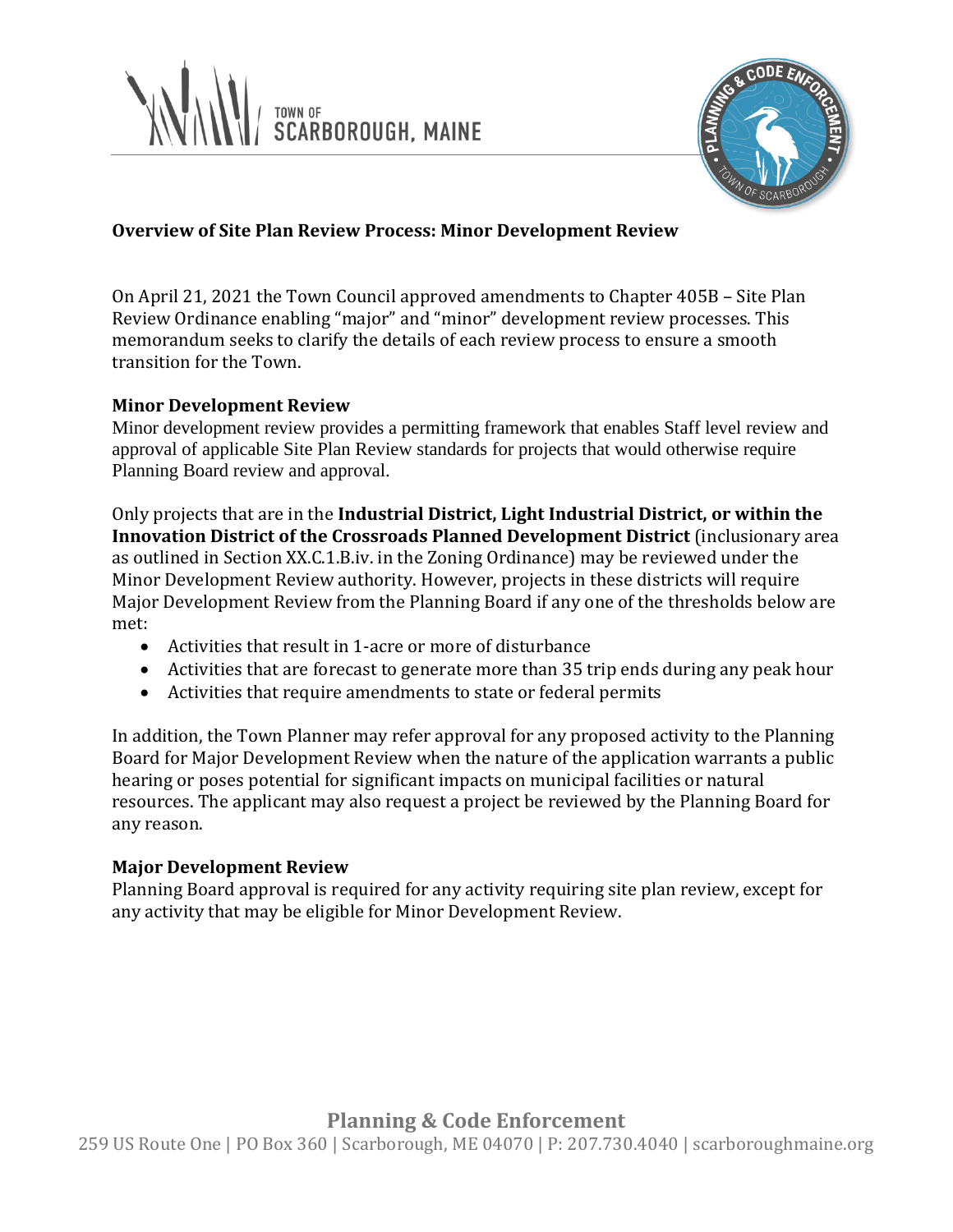



## **Overview of Site Plan Review Process: Minor Development Review**

On April 21, 2021 the Town Council approved amendments to Chapter 405B – Site Plan Review Ordinance enabling "major" and "minor" development review processes. This memorandum seeks to clarify the details of each review process to ensure a smooth transition for the Town.

### **Minor Development Review**

Minor development review provides a permitting framework that enables Staff level review and approval of applicable Site Plan Review standards for projects that would otherwise require Planning Board review and approval.

Only projects that are in the **Industrial District, Light Industrial District, or within the Innovation District of the Crossroads Planned Development District** (inclusionary area as outlined in Section XX.C.1.B.iv. in the Zoning Ordinance) may be reviewed under the Minor Development Review authority. However, projects in these districts will require Major Development Review from the Planning Board if any one of the thresholds below are met:

- Activities that result in 1-acre or more of disturbance
- Activities that are forecast to generate more than 35 trip ends during any peak hour
- Activities that require amendments to state or federal permits

In addition, the Town Planner may refer approval for any proposed activity to the Planning Board for Major Development Review when the nature of the application warrants a public hearing or poses potential for significant impacts on municipal facilities or natural resources. The applicant may also request a project be reviewed by the Planning Board for any reason.

## **Major Development Review**

Planning Board approval is required for any activity requiring site plan review, except for any activity that may be eligible for Minor Development Review.

# **Planning & Code Enforcement**

259 US Route One | PO Box 360 | Scarborough, ME 04070 | P: 207.730.4040 | scarboroughmaine.org